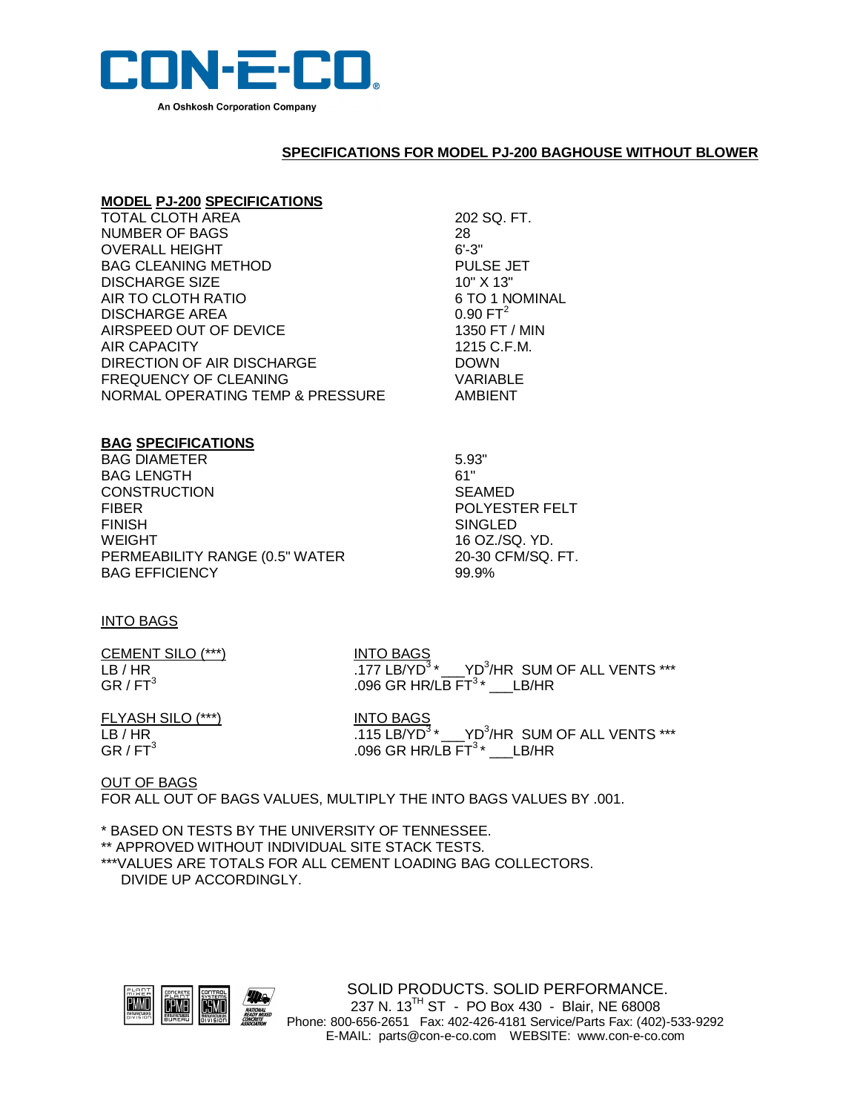

## **SPECIFICATIONS FOR MODEL PJ-200 BAGHOUSE WITHOUT BLOWER**

## **MODEL PJ-200 SPECIFICATIONS**

| <b>TOTAL CLOTH AREA</b>          | 202 SQ. FT.      |
|----------------------------------|------------------|
| NUMBER OF BAGS                   | 28               |
| <b>OVERALL HEIGHT</b>            | $6' - 3''$       |
| <b>BAG CLEANING METHOD</b>       | <b>PULSE JET</b> |
| <b>DISCHARGE SIZE</b>            | 10" X 13"        |
| AIR TO CLOTH RATIO               | 6 TO 1 NOMINAL   |
| DISCHARGE AREA                   | $0.90 FT^2$      |
| AIRSPEED OUT OF DEVICE           | 1350 FT / MIN    |
| AIR CAPACITY                     | 1215 C.F.M.      |
| DIRECTION OF AIR DISCHARGE       | <b>DOWN</b>      |
| FREQUENCY OF CLEANING            | VARIABLE         |
| NORMAL OPERATING TEMP & PRESSURE | AMBIENT          |
|                                  |                  |

## **BAG SPECIFICATIONS**

| <b>BAG DIAMETER</b>            | 5.93"       |
|--------------------------------|-------------|
| <b>BAG LENGTH</b>              | 61"         |
| <b>CONSTRUCTION</b>            | <b>SEAM</b> |
| <b>FIBER</b>                   | <b>POLY</b> |
| <b>FINISH</b>                  | SINGL       |
| <b>WEIGHT</b>                  | 16 OZ       |
| PERMEABILITY RANGE (0.5" WATER | 20-30       |
| <b>BAG EFFICIENCY</b>          | 99.9%       |
|                                |             |

SEAMED POLYESTER FELT SINGLED 16 OZ./SQ. YD. 20-30 CFM/SQ. FT.<br>99.9%

## INTO BAGS

| CEMENT SILO (***)    |  |
|----------------------|--|
| LB / HR              |  |
| GR / FT <sup>3</sup> |  |

**INTO BAGS** LB / HR  $\overline{177}$  LB/YD<sup>3</sup>  $\overline{177}$  LB/YD<sup>3</sup>  $\overline{177}$   $\overline{177}$  LB/YD<sup>3</sup>  $\overline{177}$  SUM OF ALL VENTS  $\overline{177}$ .096 GR HR/LB  $FT^3$ \* \_\_\_LB/HR

FLYASH SILO (\*\*\*)  $LB / HR$  . 115 LB/YD<sup>3</sup> GR / FT $^3$ 

\* \_\_\_ YD<sup>3</sup>/HR SUM OF ALL VENTS \*\*\* .096 GR HR/LB  $FT^3$ \* \_\_\_LB/HR

OUT OF BAGS FOR ALL OUT OF BAGS VALUES, MULTIPLY THE INTO BAGS VALUES BY .001.

\* BASED ON TESTS BY THE UNIVERSITY OF TENNESSEE.

\*\* APPROVED WITHOUT INDIVIDUAL SITE STACK TESTS.

\*\*\*VALUES ARE TOTALS FOR ALL CEMENT LOADING BAG COLLECTORS. DIVIDE UP ACCORDINGLY.



SOLID PRODUCTS. SOLID PERFORMANCE. 237 N. 13<sup>TH</sup> ST - PO Box 430 - Blair, NE 68008 Phone: 800-656-2651 Fax: 402-426-4181 Service/Parts Fax: (402)-533-9292 E-MAIL: parts@con-e-co.com WEBSITE: www.con-e-co.com